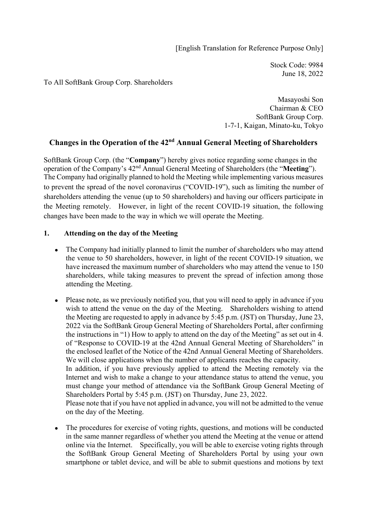[English Translation for Reference Purpose Only]

Stock Code: 9984 June 18, 2022

## To All SoftBank Group Corp. Shareholders

Masayoshi Son Chairman & CEO SoftBank Group Corp. 1-7-1, Kaigan, Minato-ku, Tokyo

## **Changes in the Operation of the 42nd Annual General Meeting of Shareholders**

SoftBank Group Corp. (the "**Company**") hereby gives notice regarding some changes in the operation of the Company's 42nd Annual General Meeting of Shareholders (the "**Meeting**"). The Company had originally planned to hold the Meeting while implementing various measures to prevent the spread of the novel coronavirus ("COVID-19"), such as limiting the number of shareholders attending the venue (up to 50 shareholders) and having our officers participate in the Meeting remotely. However, in light of the recent COVID-19 situation, the following changes have been made to the way in which we will operate the Meeting.

## **1. Attending on the day of the Meeting**

- The Company had initially planned to limit the number of shareholders who may attend the venue to 50 shareholders, however, in light of the recent COVID-19 situation, we have increased the maximum number of shareholders who may attend the venue to 150 shareholders, while taking measures to prevent the spread of infection among those attending the Meeting.
- Please note, as we previously notified you, that you will need to apply in advance if you wish to attend the venue on the day of the Meeting. Shareholders wishing to attend the Meeting are requested to apply in advance by 5:45 p.m. (JST) on Thursday, June 23, 2022 via the SoftBank Group General Meeting of Shareholders Portal, after confirming the instructions in "1) How to apply to attend on the day of the Meeting" as set out in 4. of "Response to COVID-19 at the 42nd Annual General Meeting of Shareholders" in the enclosed leaflet of the Notice of the 42nd Annual General Meeting of Shareholders. We will close applications when the number of applicants reaches the capacity. In addition, if you have previously applied to attend the Meeting remotely via the Internet and wish to make a change to your attendance status to attend the venue, you must change your method of attendance via the SoftBank Group General Meeting of Shareholders Portal by 5:45 p.m. (JST) on Thursday, June 23, 2022.

Please note that if you have not applied in advance, you will not be admitted to the venue on the day of the Meeting.

• The procedures for exercise of voting rights, questions, and motions will be conducted in the same manner regardless of whether you attend the Meeting at the venue or attend online via the Internet. Specifically, you will be able to exercise voting rights through the SoftBank Group General Meeting of Shareholders Portal by using your own smartphone or tablet device, and will be able to submit questions and motions by text